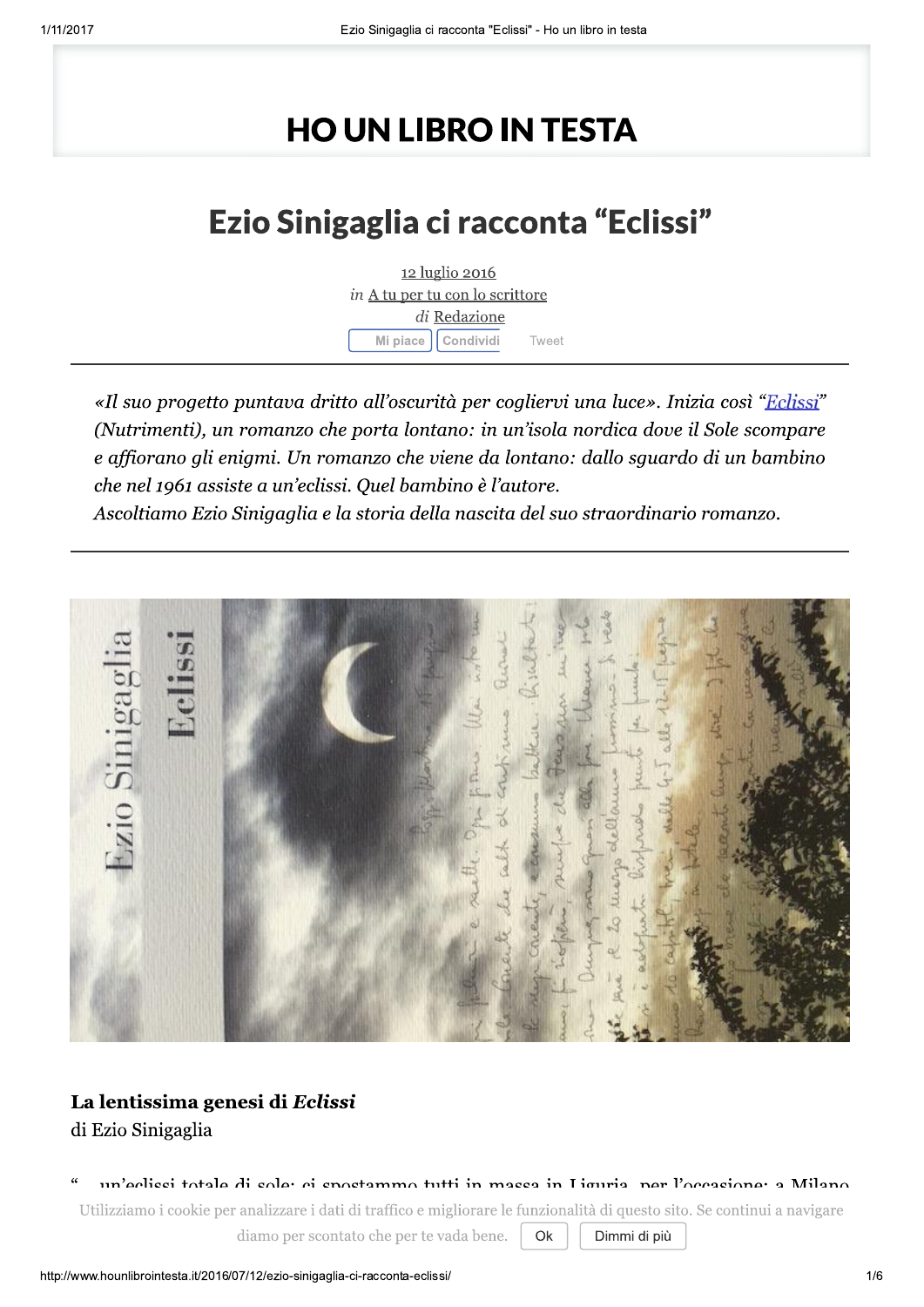# **HO UN LIBRO IN TESTA**

## Ezio Sinigaglia ci racconta "Eclissi"



«Il suo progetto puntava dritto all'oscurità per cogliervi una luce». Inizia così "Eclissi" (Nutrimenti), un romanzo che porta lontano: in un'isola nordica dove il Sole scompare e affiorano gli enigmi. Un romanzo che viene da lontano: dallo sguardo di un bambino che nel 1961 assiste a un'eclissi. Quel bambino è l'autore. Ascoltiamo Ezio Sinigaglia e la storia della nascita del suo straordinario romanzo.



#### La lentissima genesi di Eclissi di Ezio Sinigaglia

un'aclicci totale di solar ci spostammo tutti in massa in Liguria, per l'occasionaria Milano Utilizziamo i cookie per analizzare i dati di traffico e migliorare le funzionalità di questo sito. Se continui a navigare

diamo per scontato che per te vada bene.

Dimmi di più

Ok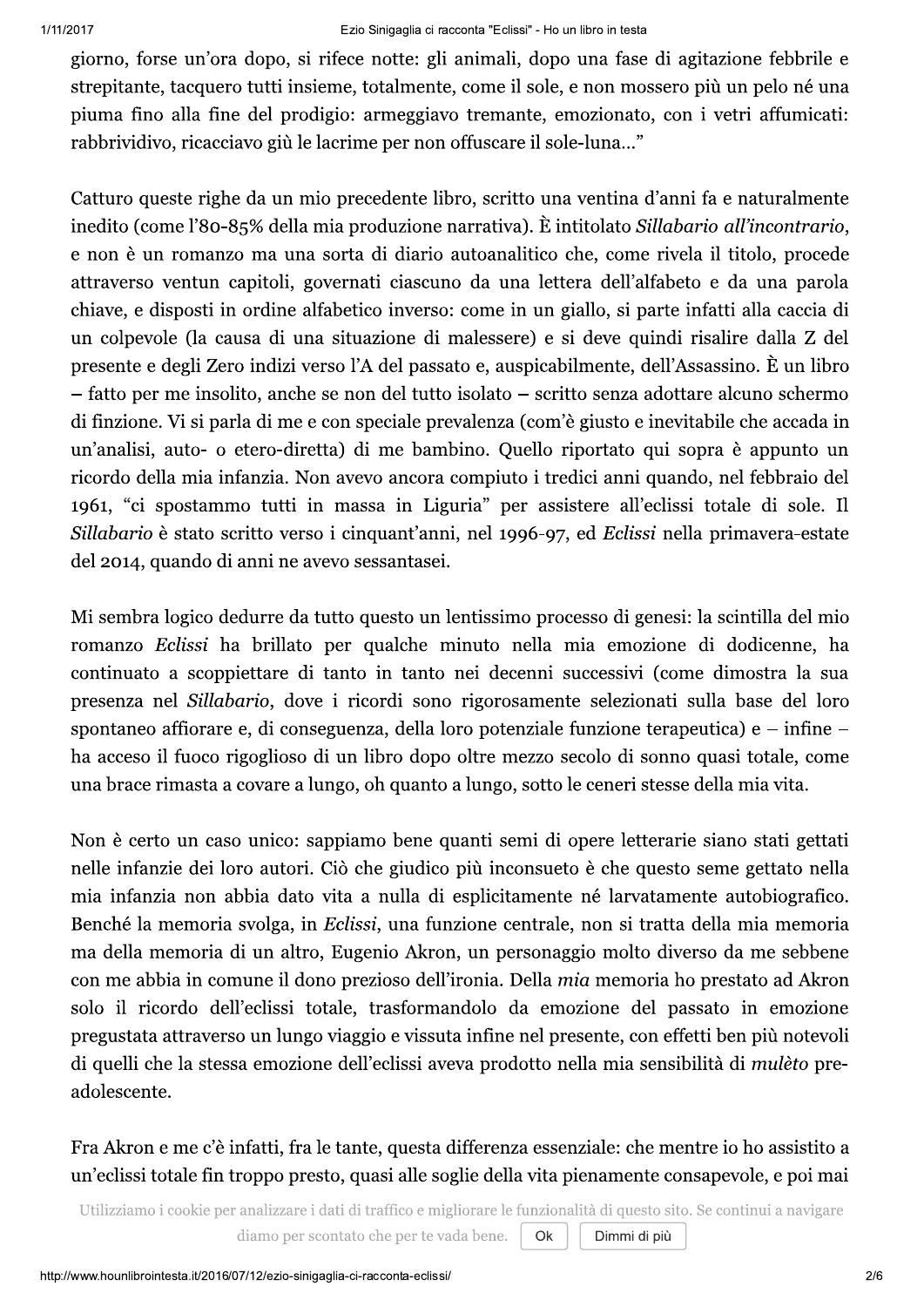giorno, forse un'ora dopo, si rifece notte: gli animali, dopo una fase di agitazione febbrile e strepitante, tacquero tutti insieme, totalmente, come il sole, e non mossero più un pelo né una piuma fino alla fine del prodigio: armeggiavo tremante, emozionato, con i vetri affumicati: rabbrividivo, ricacciavo giù le lacrime per non offuscare il sole-luna..."

Catturo queste righe da un mio precedente libro, scritto una ventina d'anni fa e naturalmente inedito (come l'80-85% della mia produzione narrativa). È intitolato Sillabario all'incontrario, e non è un romanzo ma una sorta di diario autoanalitico che, come rivela il titolo, procede attraverso ventun capitoli, governati ciascuno da una lettera dell'alfabeto e da una parola chiave, e disposti in ordine alfabetico inverso: come in un giallo, si parte infatti alla caccia di un colpevole (la causa di una situazione di malessere) e si deve quindi risalire dalla Z del presente e degli Zero indizi verso l'A del passato e, auspicabilmente, dell'Assassino. È un libro - fatto per me insolito, anche se non del tutto isolato - scritto senza adottare alcuno schermo di finzione. Vi si parla di me e con speciale prevalenza (com'è giusto e inevitabile che accada in un'analisi, auto- o etero-diretta) di me bambino. Quello riportato qui sopra è appunto un ricordo della mia infanzia. Non avevo ancora compiuto i tredici anni quando, nel febbraio del 1961, "ci spostammo tutti in massa in Liguria" per assistere all'eclissi totale di sole. Il Sillabario è stato scritto verso i cinquant'anni, nel 1996-97, ed Eclissi nella primavera-estate del 2014, quando di anni ne avevo sessantasei.

Mi sembra logico dedurre da tutto questo un lentissimo processo di genesi: la scintilla del mio romanzo Eclissi ha brillato per qualche minuto nella mia emozione di dodicenne, ha continuato a scoppiettare di tanto in tanto nei decenni successivi (come dimostra la sua presenza nel Sillabario, dove i ricordi sono rigorosamente selezionati sulla base del loro spontaneo affiorare e, di conseguenza, della loro potenziale funzione terapeutica) e – infine – ha acceso il fuoco rigoglioso di un libro dopo oltre mezzo secolo di sonno quasi totale, come una brace rimasta a covare a lungo, oh quanto a lungo, sotto le ceneri stesse della mia vita.

Non è certo un caso unico: sappiamo bene quanti semi di opere letterarie siano stati gettati nelle infanzie dei loro autori. Ciò che giudico più inconsueto è che questo seme gettato nella mia infanzia non abbia dato vita a nulla di esplicitamente né larvatamente autobiografico. Benché la memoria svolga, in Eclissi, una funzione centrale, non si tratta della mia memoria ma della memoria di un altro, Eugenio Akron, un personaggio molto diverso da me sebbene con me abbia in comune il dono prezioso dell'ironia. Della *mia* memoria ho prestato ad Akron solo il ricordo dell'eclissi totale, trasformandolo da emozione del passato in emozione pregustata attraverso un lungo viaggio e vissuta infine nel presente, con effetti ben più notevoli di quelli che la stessa emozione dell'eclissi aveva prodotto nella mia sensibilità di *mulèto* preadolescente.

#### Fra Akron e me c'è infatti, fra le tante, questa differenza essenziale: che mentre io ho assistito a un'eclissi totale fin troppo presto, quasi alle soglie della vita pienamente consapevole, e poi mai

Utilizziamo i cookie per analizzare i dati di traffico e migliorare le funzionalità di questo sito. Se continui a navigare

Dimmi di più

diamo per scontato che per te vada bene. Ok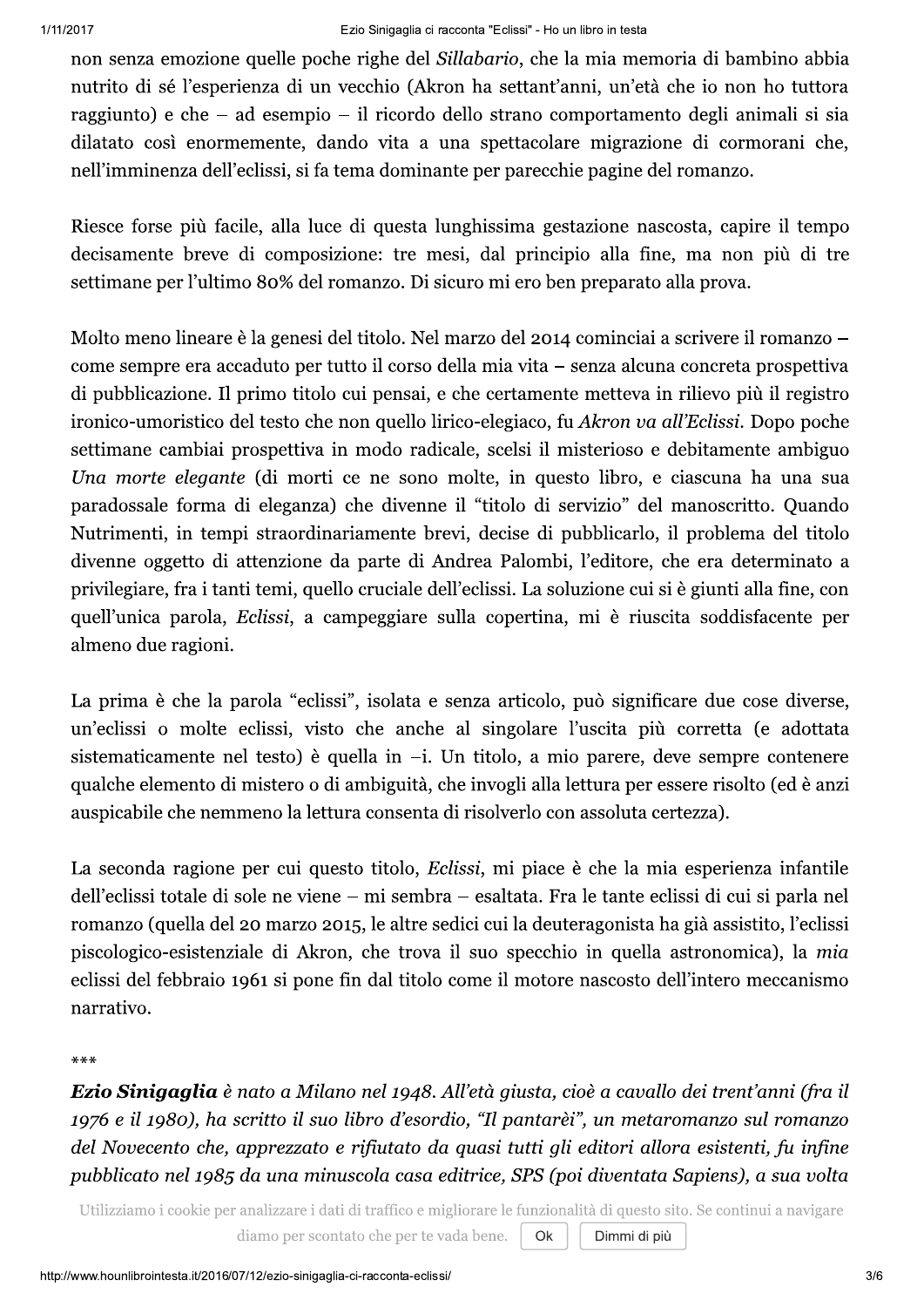non senza emozione quelle poche righe del Sillabario, che la mia memoria di bambino abbia nutrito di sé l'esperienza di un vecchio (Akron ha settant'anni, un'età che io non ho tuttora raggiunto) e che – ad esempio – il ricordo dello strano comportamento degli animali si sia dilatato così enormemente, dando vita a una spettacolare migrazione di cormorani che, nell'imminenza dell'eclissi, si fa tema dominante per parecchie pagine del romanzo.

Riesce forse più facile, alla luce di questa lunghissima gestazione nascosta, capire il tempo decisamente breve di composizione: tre mesi, dal principio alla fine, ma non più di tre settimane per l'ultimo 80% del romanzo. Di sicuro mi ero ben preparato alla prova.

Molto meno lineare è la genesi del titolo. Nel marzo del 2014 cominciai a scrivere il romanzo – come sempre era accaduto per tutto il corso della mia vita – senza alcuna concreta prospettiva di pubblicazione. Il primo titolo cui pensai, e che certamente metteva in rilievo più il registro ironico-umoristico del testo che non quello lirico-elegiaco, fu Akron va all'Eclissi. Dopo poche settimane cambiai prospettiva in modo radicale, scelsi il misterioso e debitamente ambiguo Una morte elegante (di morti ce ne sono molte, in questo libro, e ciascuna ha una sua paradossale forma di eleganza) che divenne il "titolo di servizio" del manoscritto. Quando Nutrimenti, in tempi straordinariamente brevi, decise di pubblicarlo, il problema del titolo divenne oggetto di attenzione da parte di Andrea Palombi, l'editore, che era determinato a privilegiare, fra i tanti temi, quello cruciale dell'eclissi. La soluzione cui si è giunti alla fine, con quell'unica parola, Eclissi, a campeggiare sulla copertina, mi è riuscita soddisfacente per almeno due ragioni.

La prima è che la parola "eclissi", isolata e senza articolo, può significare due cose diverse, un'eclissi o molte eclissi, visto che anche al singolare l'uscita più corretta (e adottata sistematicamente nel testo) è quella in -i. Un titolo, a mio parere, deve sempre contenere qualche elemento di mistero o di ambiguità, che invogli alla lettura per essere risolto (ed è anzi auspicabile che nemmeno la lettura consenta di risolverlo con assoluta certezza).

La seconda ragione per cui questo titolo, Eclissi, mi piace è che la mia esperienza infantile dell'eclissi totale di sole ne viene – mi sembra – esaltata. Fra le tante eclissi di cui si parla nel romanzo (quella del 20 marzo 2015, le altre sedici cui la deuteragonista ha già assistito, l'eclissi piscologico-esistenziale di Akron, che trova il suo specchio in quella astronomica), la mia eclissi del febbraio 1961 si pone fin dal titolo come il motore nascosto dell'intero meccanismo narrativo.

 $***$ 

Ezio Sinigaglia è nato a Milano nel 1948. All'età giusta, cioè a cavallo dei trent'anni (fra il 1976 e il 1980), ha scritto il suo libro d'esordio, "Il pantarèi", un metaromanzo sul romanzo del Novecento che, apprezzato e rifiutato da quasi tutti gli editori allora esistenti, fu infine pubblicato nel 1985 da una minuscola casa editrice, SPS (poi diventata Sapiens), a sua volta

Utilizziamo i cookie per analizzare i dati di traffico e migliorare le funzionalità di questo sito. Se continui a navigare

Dimmi di più

diamo per scontato che per te vada bene. Ok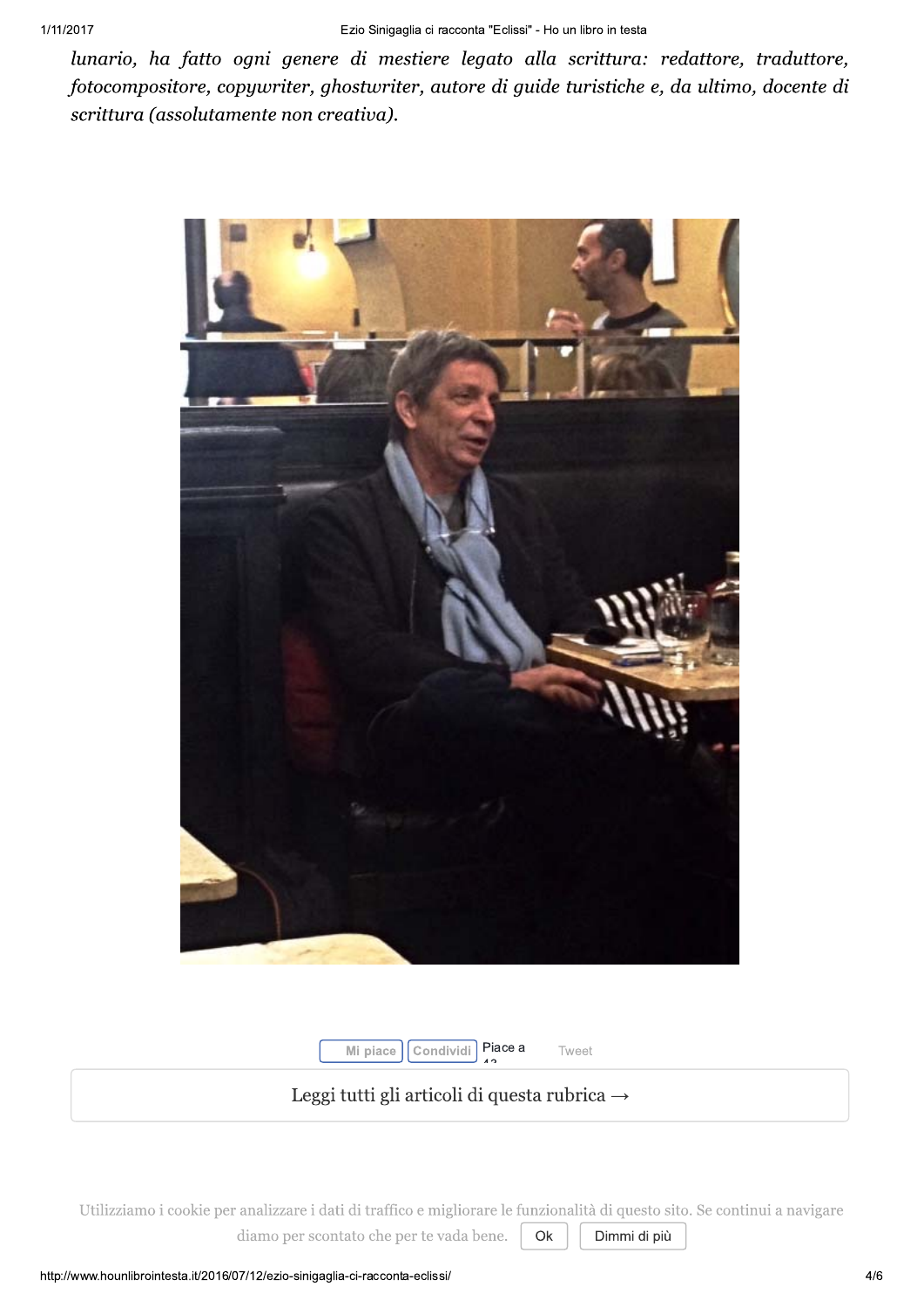lunario, ha fatto ogni genere di mestiere legato alla scrittura: redattore, traduttore, fotocompositore, copywriter, ghostwriter, autore di guide turistiche e, da ultimo, docente di scrittura (assolutamente non creativa).



Condividi Piace a Mi piace

Tweet

#### Leggi tutti gli articoli di questa rubrica  $\rightarrow$

Utilizziamo i cookie per analizzare i dati di traffico e migliorare le funzionalità di questo sito. Se continui a navigare diamo per scontato che per te vada bene. Ok Dimmi di più